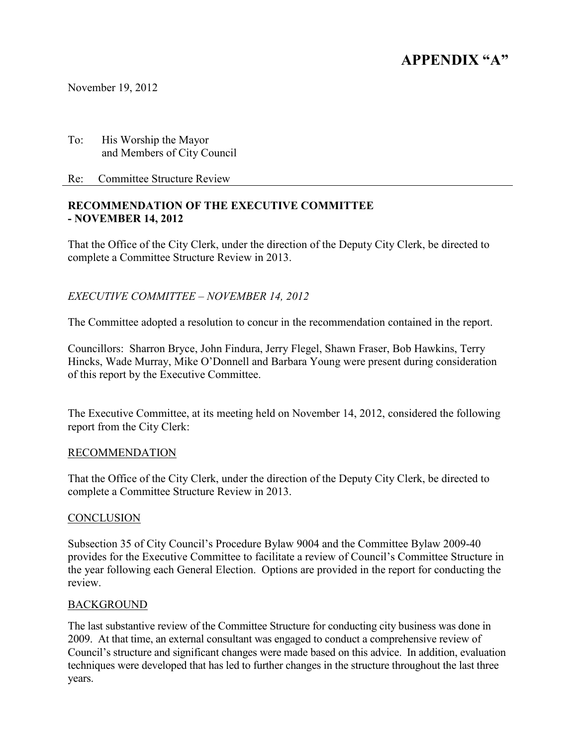# **APPENDIX "A"**

November 19, 2012

To: His Worship the Mayor and Members of City Council

Re: Committee Structure Review

## **RECOMMENDATION OF THE EXECUTIVE COMMITTEE - NOVEMBER 14, 2012**

That the Office of the City Clerk, under the direction of the Deputy City Clerk, be directed to complete a Committee Structure Review in 2013.

# *EXECUTIVE COMMITTEE – NOVEMBER 14, 2012*

The Committee adopted a resolution to concur in the recommendation contained in the report.

Councillors: Sharron Bryce, John Findura, Jerry Flegel, Shawn Fraser, Bob Hawkins, Terry Hincks, Wade Murray, Mike O'Donnell and Barbara Young were present during consideration of this report by the Executive Committee.

The Executive Committee, at its meeting held on November 14, 2012, considered the following report from the City Clerk:

#### RECOMMENDATION

That the Office of the City Clerk, under the direction of the Deputy City Clerk, be directed to complete a Committee Structure Review in 2013.

#### CONCLUSION

Subsection 35 of City Council's Procedure Bylaw 9004 and the Committee Bylaw 2009-40 provides for the Executive Committee to facilitate a review of Council's Committee Structure in the year following each General Election. Options are provided in the report for conducting the review.

#### BACKGROUND

The last substantive review of the Committee Structure for conducting city business was done in 2009. At that time, an external consultant was engaged to conduct a comprehensive review of Council's structure and significant changes were made based on this advice. In addition, evaluation techniques were developed that has led to further changes in the structure throughout the last three years.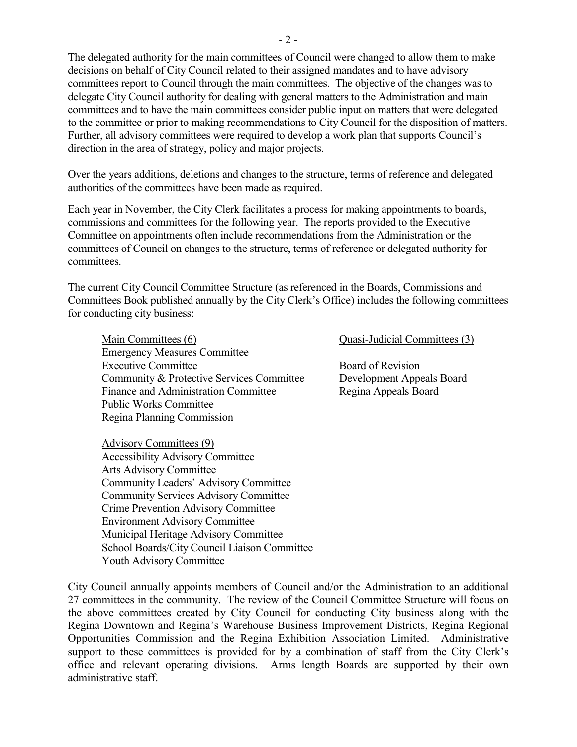The delegated authority for the main committees of Council were changed to allow them to make decisions on behalf of City Council related to their assigned mandates and to have advisory committees report to Council through the main committees. The objective of the changes was to delegate City Council authority for dealing with general matters to the Administration and main committees and to have the main committees consider public input on matters that were delegated to the committee or prior to making recommendations to City Council for the disposition of matters. Further, all advisory committees were required to develop a work plan that supports Council's direction in the area of strategy, policy and major projects.

Over the years additions, deletions and changes to the structure, terms of reference and delegated authorities of the committees have been made as required.

Each year in November, the City Clerk facilitates a process for making appointments to boards, commissions and committees for the following year. The reports provided to the Executive Committee on appointments often include recommendations from the Administration or the committees of Council on changes to the structure, terms of reference or delegated authority for committees.

The current City Council Committee Structure (as referenced in the Boards, Commissions and Committees Book published annually by the City Clerk's Office) includes the following committees for conducting city business:

 Main Committees (6) Quasi-Judicial Committees (3) Emergency Measures Committee Executive Committee Board of Revision Community & Protective Services Committee Development Appeals Board Finance and Administration Committee Regina Appeals Board Public Works Committee Regina Planning Commission

 Advisory Committees (9) Accessibility Advisory Committee Arts Advisory Committee Community Leaders' Advisory Committee Community Services Advisory Committee Crime Prevention Advisory Committee Environment Advisory Committee Municipal Heritage Advisory Committee School Boards/City Council Liaison Committee Youth Advisory Committee

City Council annually appoints members of Council and/or the Administration to an additional 27 committees in the community. The review of the Council Committee Structure will focus on the above committees created by City Council for conducting City business along with the Regina Downtown and Regina's Warehouse Business Improvement Districts, Regina Regional Opportunities Commission and the Regina Exhibition Association Limited. Administrative support to these committees is provided for by a combination of staff from the City Clerk's office and relevant operating divisions. Arms length Boards are supported by their own administrative staff.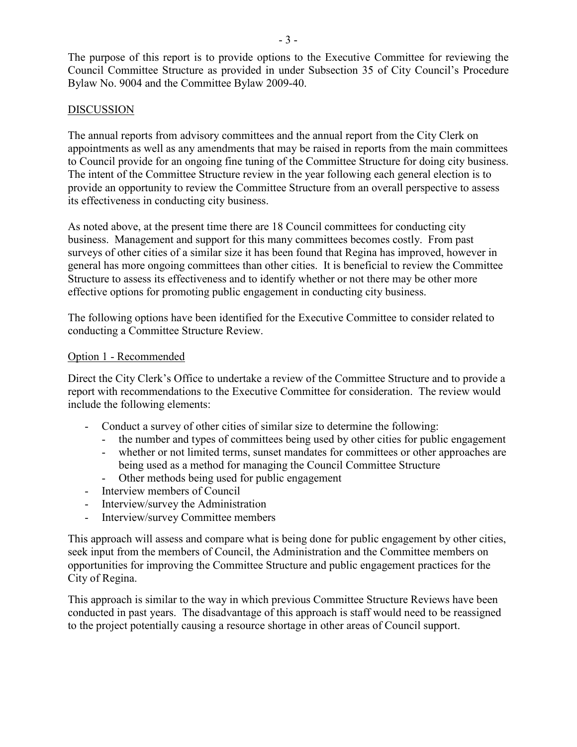The purpose of this report is to provide options to the Executive Committee for reviewing the Council Committee Structure as provided in under Subsection 35 of City Council's Procedure Bylaw No. 9004 and the Committee Bylaw 2009-40.

# DISCUSSION

The annual reports from advisory committees and the annual report from the City Clerk on appointments as well as any amendments that may be raised in reports from the main committees to Council provide for an ongoing fine tuning of the Committee Structure for doing city business. The intent of the Committee Structure review in the year following each general election is to provide an opportunity to review the Committee Structure from an overall perspective to assess its effectiveness in conducting city business.

As noted above, at the present time there are 18 Council committees for conducting city business. Management and support for this many committees becomes costly. From past surveys of other cities of a similar size it has been found that Regina has improved, however in general has more ongoing committees than other cities. It is beneficial to review the Committee Structure to assess its effectiveness and to identify whether or not there may be other more effective options for promoting public engagement in conducting city business.

The following options have been identified for the Executive Committee to consider related to conducting a Committee Structure Review.

### Option 1 - Recommended

Direct the City Clerk's Office to undertake a review of the Committee Structure and to provide a report with recommendations to the Executive Committee for consideration. The review would include the following elements:

- Conduct a survey of other cities of similar size to determine the following:
	- the number and types of committees being used by other cities for public engagement
	- whether or not limited terms, sunset mandates for committees or other approaches are being used as a method for managing the Council Committee Structure
	- Other methods being used for public engagement
- Interview members of Council
- Interview/survey the Administration
- Interview/survey Committee members

This approach will assess and compare what is being done for public engagement by other cities, seek input from the members of Council, the Administration and the Committee members on opportunities for improving the Committee Structure and public engagement practices for the City of Regina.

This approach is similar to the way in which previous Committee Structure Reviews have been conducted in past years. The disadvantage of this approach is staff would need to be reassigned to the project potentially causing a resource shortage in other areas of Council support.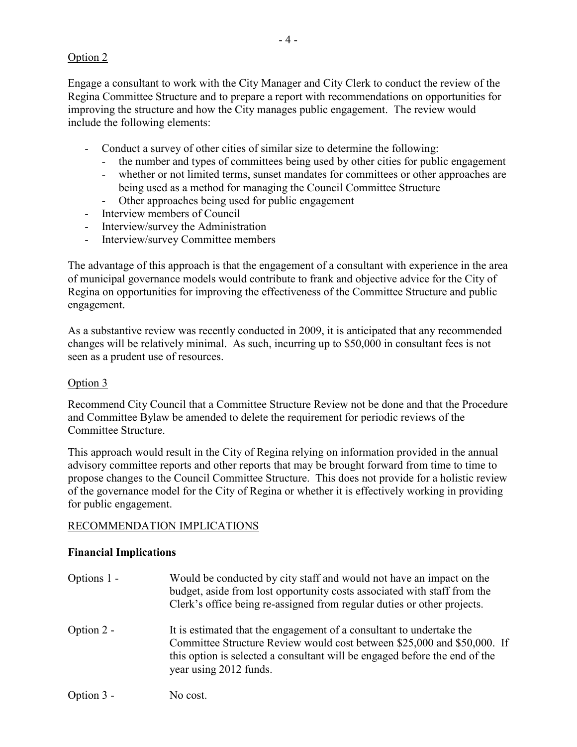# Option 2

Engage a consultant to work with the City Manager and City Clerk to conduct the review of the Regina Committee Structure and to prepare a report with recommendations on opportunities for improving the structure and how the City manages public engagement. The review would include the following elements:

- Conduct a survey of other cities of similar size to determine the following:
	- the number and types of committees being used by other cities for public engagement
	- whether or not limited terms, sunset mandates for committees or other approaches are being used as a method for managing the Council Committee Structure
	- Other approaches being used for public engagement
- Interview members of Council
- Interview/survey the Administration
- Interview/survey Committee members

The advantage of this approach is that the engagement of a consultant with experience in the area of municipal governance models would contribute to frank and objective advice for the City of Regina on opportunities for improving the effectiveness of the Committee Structure and public engagement.

As a substantive review was recently conducted in 2009, it is anticipated that any recommended changes will be relatively minimal. As such, incurring up to \$50,000 in consultant fees is not seen as a prudent use of resources.

# Option 3

Recommend City Council that a Committee Structure Review not be done and that the Procedure and Committee Bylaw be amended to delete the requirement for periodic reviews of the Committee Structure.

This approach would result in the City of Regina relying on information provided in the annual advisory committee reports and other reports that may be brought forward from time to time to propose changes to the Council Committee Structure. This does not provide for a holistic review of the governance model for the City of Regina or whether it is effectively working in providing for public engagement.

# RECOMMENDATION IMPLICATIONS

# **Financial Implications**

| Options 1 - | Would be conducted by city staff and would not have an impact on the<br>budget, aside from lost opportunity costs associated with staff from the<br>Clerk's office being re-assigned from regular duties or other projects.                             |
|-------------|---------------------------------------------------------------------------------------------------------------------------------------------------------------------------------------------------------------------------------------------------------|
| Option 2 -  | It is estimated that the engagement of a consultant to undertake the<br>Committee Structure Review would cost between \$25,000 and \$50,000. If<br>this option is selected a consultant will be engaged before the end of the<br>year using 2012 funds. |
| Option 3 -  | No cost.                                                                                                                                                                                                                                                |